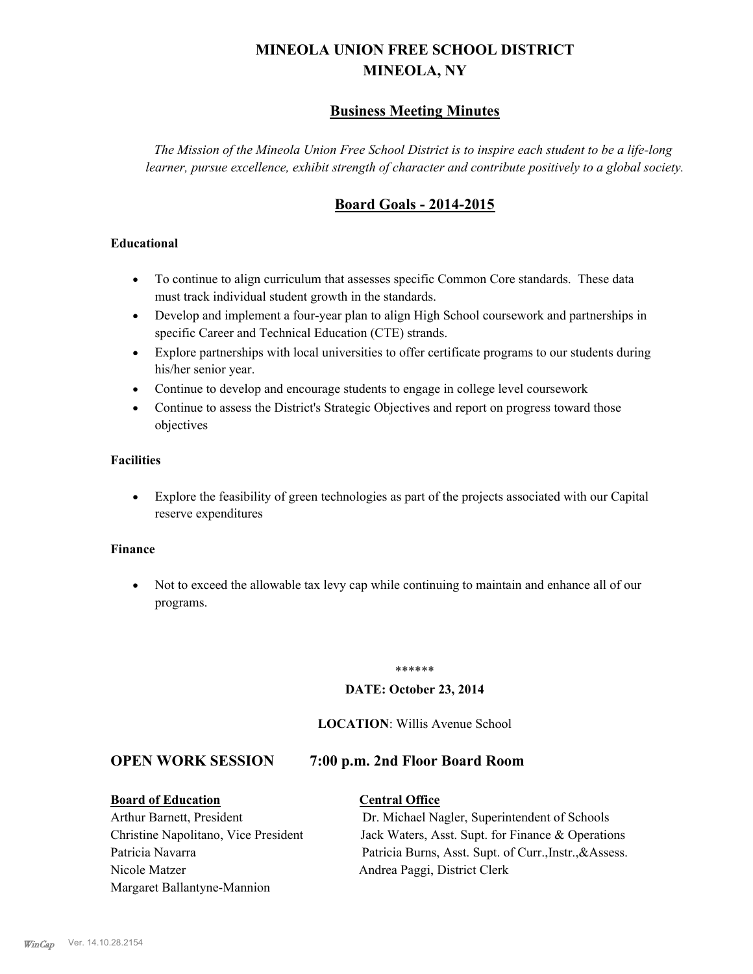# **MINEOLA UNION FREE SCHOOL DISTRICT MINEOLA, NY**

# **Business Meeting Minutes**

*The Mission of the Mineola Union Free School District is to inspire each student to be a life-long learner, pursue excellence, exhibit strength of character and contribute positively to a global society.*

# **Board Goals - 2014-2015**

#### **Educational**

- · To continue to align curriculum that assesses specific Common Core standards. These data must track individual student growth in the standards.
- · Develop and implement a four-year plan to align High School coursework and partnerships in specific Career and Technical Education (CTE) strands.
- · Explore partnerships with local universities to offer certificate programs to our students during his/her senior year.
- · Continue to develop and encourage students to engage in college level coursework
- Continue to assess the District's Strategic Objectives and report on progress toward those objectives

#### **Facilities**

· Explore the feasibility of green technologies as part of the projects associated with our Capital reserve expenditures

#### **Finance**

· Not to exceed the allowable tax levy cap while continuing to maintain and enhance all of our programs.

#### \*\*\*\*\*\*

#### **DATE: October 23, 2014**

#### **LOCATION**: Willis Avenue School

#### **OPEN WORK SESSION 7:00 p.m. 2nd Floor Board Room**

#### **Board of Education Central Office**

Nicole Matzer Andrea Paggi, District Clerk Margaret Ballantyne-Mannion

Arthur Barnett, President Dr. Michael Nagler, Superintendent of Schools Christine Napolitano, Vice President Jack Waters, Asst. Supt. for Finance & Operations Patricia Navarra Patricia Burns, Asst. Supt. of Curr., Instr., &Assess.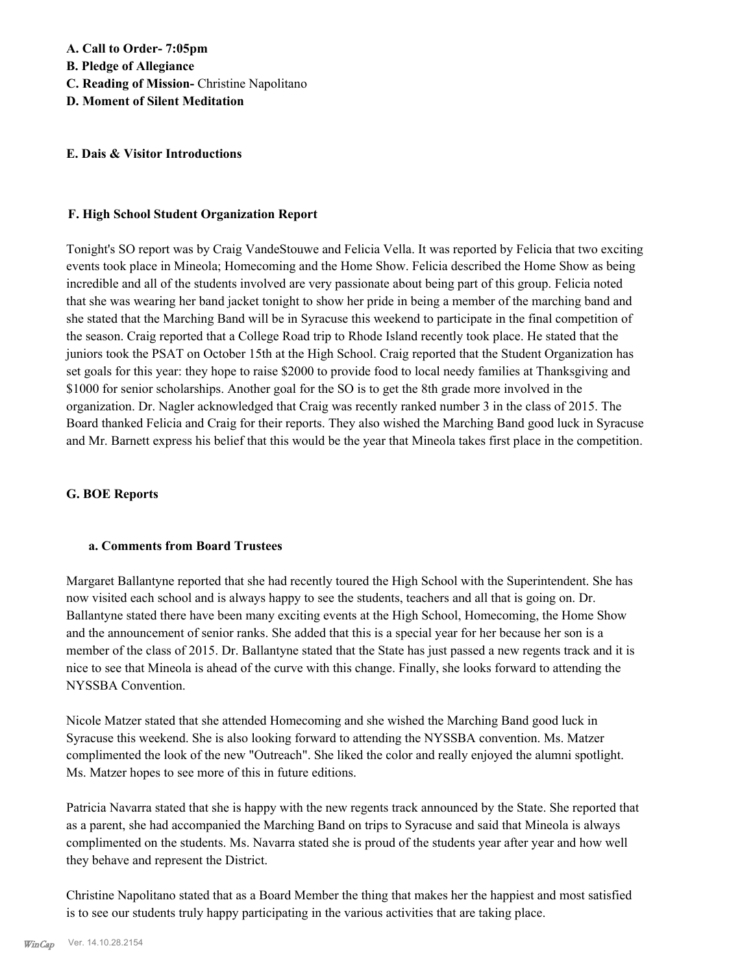#### **E. Dais & Visitor Introductions**

#### **F. High School Student Organization Report**

Tonight's SO report was by Craig VandeStouwe and Felicia Vella. It was reported by Felicia that two exciting events took place in Mineola; Homecoming and the Home Show. Felicia described the Home Show as being incredible and all of the students involved are very passionate about being part of this group. Felicia noted that she was wearing her band jacket tonight to show her pride in being a member of the marching band and she stated that the Marching Band will be in Syracuse this weekend to participate in the final competition of the season. Craig reported that a College Road trip to Rhode Island recently took place. He stated that the juniors took the PSAT on October 15th at the High School. Craig reported that the Student Organization has set goals for this year: they hope to raise \$2000 to provide food to local needy families at Thanksgiving and \$1000 for senior scholarships. Another goal for the SO is to get the 8th grade more involved in the organization. Dr. Nagler acknowledged that Craig was recently ranked number 3 in the class of 2015. The Board thanked Felicia and Craig for their reports. They also wished the Marching Band good luck in Syracuse and Mr. Barnett express his belief that this would be the year that Mineola takes first place in the competition.

#### **G. BOE Reports**

#### **a. Comments from Board Trustees**

Margaret Ballantyne reported that she had recently toured the High School with the Superintendent. She has now visited each school and is always happy to see the students, teachers and all that is going on. Dr. Ballantyne stated there have been many exciting events at the High School, Homecoming, the Home Show and the announcement of senior ranks. She added that this is a special year for her because her son is a member of the class of 2015. Dr. Ballantyne stated that the State has just passed a new regents track and it is nice to see that Mineola is ahead of the curve with this change. Finally, she looks forward to attending the NYSSBA Convention.

Nicole Matzer stated that she attended Homecoming and she wished the Marching Band good luck in Syracuse this weekend. She is also looking forward to attending the NYSSBA convention. Ms. Matzer complimented the look of the new "Outreach". She liked the color and really enjoyed the alumni spotlight. Ms. Matzer hopes to see more of this in future editions.

Patricia Navarra stated that she is happy with the new regents track announced by the State. She reported that as a parent, she had accompanied the Marching Band on trips to Syracuse and said that Mineola is always complimented on the students. Ms. Navarra stated she is proud of the students year after year and how well they behave and represent the District.

Christine Napolitano stated that as a Board Member the thing that makes her the happiest and most satisfied is to see our students truly happy participating in the various activities that are taking place.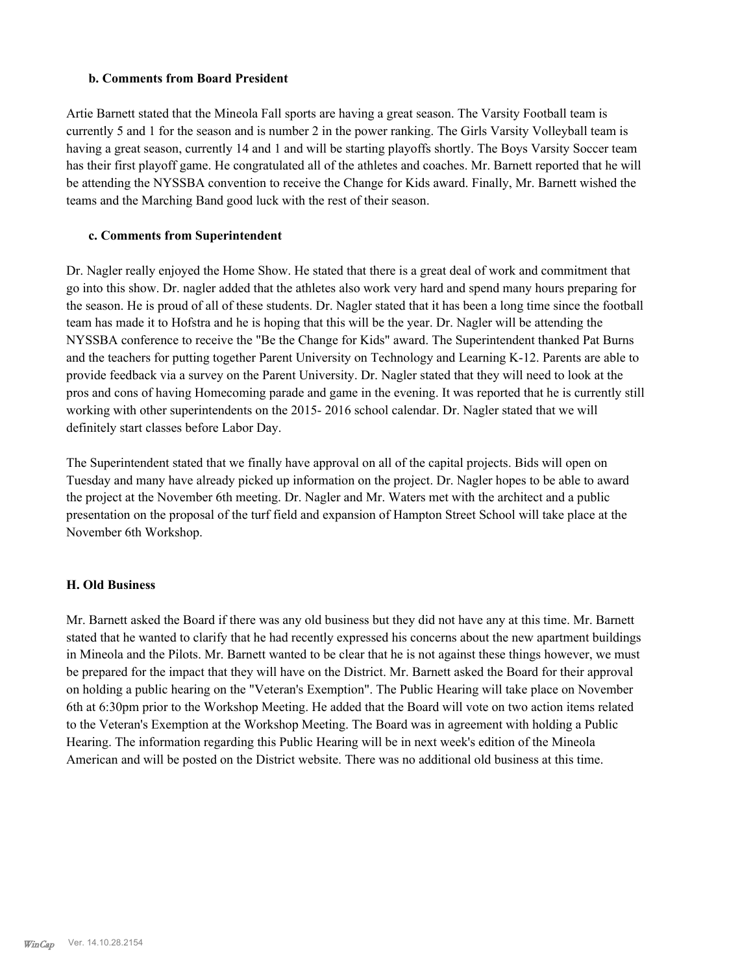#### **b. Comments from Board President**

Artie Barnett stated that the Mineola Fall sports are having a great season. The Varsity Football team is currently 5 and 1 for the season and is number 2 in the power ranking. The Girls Varsity Volleyball team is having a great season, currently 14 and 1 and will be starting playoffs shortly. The Boys Varsity Soccer team has their first playoff game. He congratulated all of the athletes and coaches. Mr. Barnett reported that he will be attending the NYSSBA convention to receive the Change for Kids award. Finally, Mr. Barnett wished the teams and the Marching Band good luck with the rest of their season.

#### **c. Comments from Superintendent**

Dr. Nagler really enjoyed the Home Show. He stated that there is a great deal of work and commitment that go into this show. Dr. nagler added that the athletes also work very hard and spend many hours preparing for the season. He is proud of all of these students. Dr. Nagler stated that it has been a long time since the football team has made it to Hofstra and he is hoping that this will be the year. Dr. Nagler will be attending the NYSSBA conference to receive the "Be the Change for Kids" award. The Superintendent thanked Pat Burns and the teachers for putting together Parent University on Technology and Learning K-12. Parents are able to provide feedback via a survey on the Parent University. Dr. Nagler stated that they will need to look at the pros and cons of having Homecoming parade and game in the evening. It was reported that he is currently still working with other superintendents on the 2015- 2016 school calendar. Dr. Nagler stated that we will definitely start classes before Labor Day.

The Superintendent stated that we finally have approval on all of the capital projects. Bids will open on Tuesday and many have already picked up information on the project. Dr. Nagler hopes to be able to award the project at the November 6th meeting. Dr. Nagler and Mr. Waters met with the architect and a public presentation on the proposal of the turf field and expansion of Hampton Street School will take place at the November 6th Workshop.

#### **H. Old Business**

Mr. Barnett asked the Board if there was any old business but they did not have any at this time. Mr. Barnett stated that he wanted to clarify that he had recently expressed his concerns about the new apartment buildings in Mineola and the Pilots. Mr. Barnett wanted to be clear that he is not against these things however, we must be prepared for the impact that they will have on the District. Mr. Barnett asked the Board for their approval on holding a public hearing on the "Veteran's Exemption". The Public Hearing will take place on November 6th at 6:30pm prior to the Workshop Meeting. He added that the Board will vote on two action items related to the Veteran's Exemption at the Workshop Meeting. The Board was in agreement with holding a Public Hearing. The information regarding this Public Hearing will be in next week's edition of the Mineola American and will be posted on the District website. There was no additional old business at this time.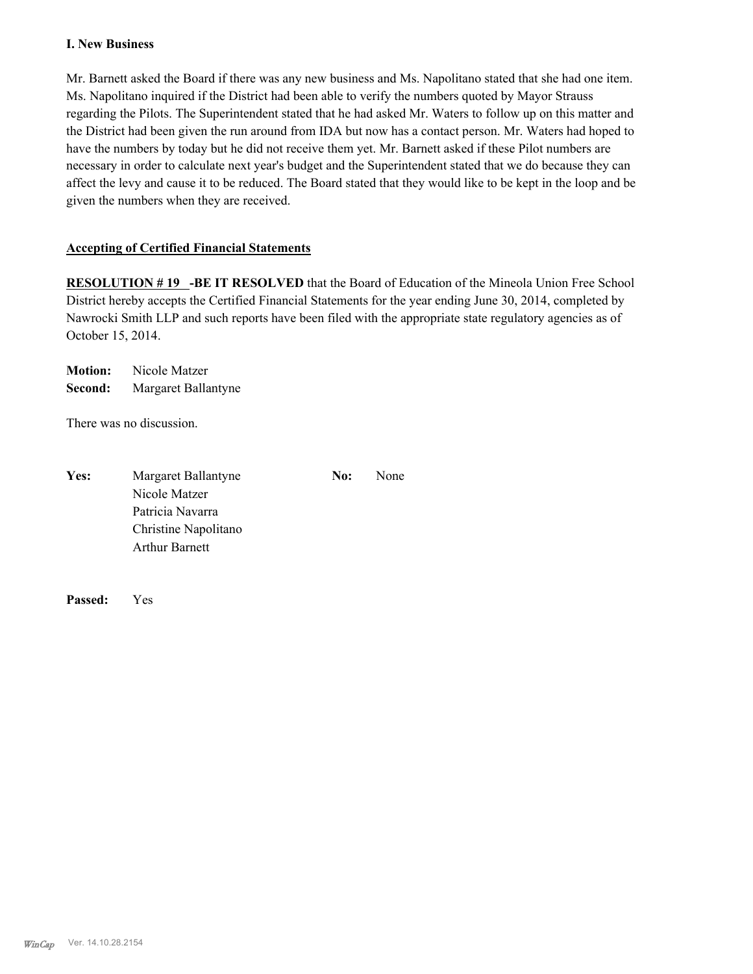#### **I. New Business**

Mr. Barnett asked the Board if there was any new business and Ms. Napolitano stated that she had one item. Ms. Napolitano inquired if the District had been able to verify the numbers quoted by Mayor Strauss regarding the Pilots. The Superintendent stated that he had asked Mr. Waters to follow up on this matter and the District had been given the run around from IDA but now has a contact person. Mr. Waters had hoped to have the numbers by today but he did not receive them yet. Mr. Barnett asked if these Pilot numbers are necessary in order to calculate next year's budget and the Superintendent stated that we do because they can affect the levy and cause it to be reduced. The Board stated that they would like to be kept in the loop and be given the numbers when they are received.

#### **Accepting of Certified Financial Statements**

**RESOLUTION # 19 -BE IT RESOLVED** that the Board of Education of the Mineola Union Free School District hereby accepts the Certified Financial Statements for the year ending June 30, 2014, completed by Nawrocki Smith LLP and such reports have been filed with the appropriate state regulatory agencies as of October 15, 2014.

**Motion:** Nicole Matzer **Second:** Margaret Ballantyne

There was no discussion.

| Yes: | Margaret Ballantyne   | No: | None |
|------|-----------------------|-----|------|
|      | Nicole Matzer         |     |      |
|      | Patricia Navarra      |     |      |
|      | Christine Napolitano  |     |      |
|      | <b>Arthur Barnett</b> |     |      |

**Passed:** Yes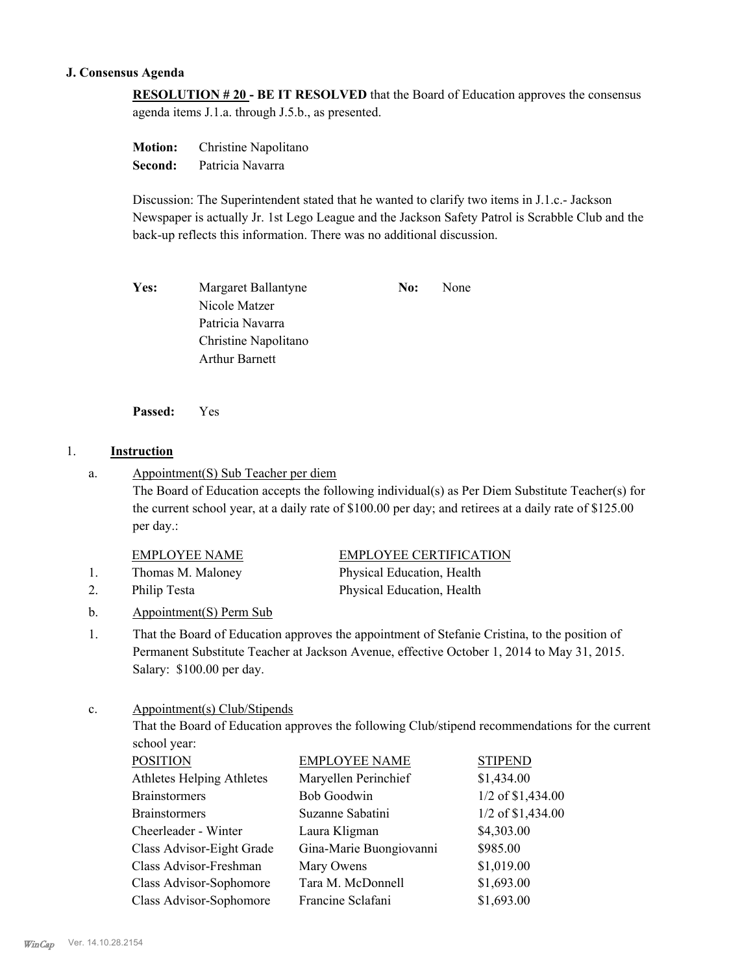#### **J. Consensus Agenda**

**RESOLUTION # 20 - BE IT RESOLVED** that the Board of Education approves the consensus agenda items J.1.a. through J.5.b., as presented.

**Motion:** Christine Napolitano **Second:** Patricia Navarra

Discussion: The Superintendent stated that he wanted to clarify two items in J.1.c.- Jackson Newspaper is actually Jr. 1st Lego League and the Jackson Safety Patrol is Scrabble Club and the back-up reflects this information. There was no additional discussion.

Yes: Margaret Ballantyne **No:** None Nicole Matzer Patricia Navarra Christine Napolitano Arthur Barnett

**Passed:** Yes

#### 1. **Instruction**

Appointment(S) Sub Teacher per diem a.

> The Board of Education accepts the following individual(s) as Per Diem Substitute Teacher(s) for the current school year, at a daily rate of \$100.00 per day; and retirees at a daily rate of \$125.00 per day.:

#### EMPLOYEE NAME EMPLOYEE CERTIFICATION

- 1. Thomas M. Maloney Physical Education, Health
- 
- b. Appointment(S) Perm Sub

2. Philip Testa Physical Education, Health

That the Board of Education approves the appointment of Stefanie Cristina, to the position of Permanent Substitute Teacher at Jackson Avenue, effective October 1, 2014 to May 31, 2015. Salary: \$100.00 per day. 1.

#### Appointment(s) Club/Stipends c.

That the Board of Education approves the following Club/stipend recommendations for the current school year:

| <b>POSITION</b>                  | <b>EMPLOYEE NAME</b>    | <b>STIPEND</b>      |
|----------------------------------|-------------------------|---------------------|
| <b>Athletes Helping Athletes</b> | Maryellen Perinchief    | \$1,434.00          |
| <b>Brainstormers</b>             | <b>Bob Goodwin</b>      | $1/2$ of \$1,434.00 |
| <b>Brainstormers</b>             | Suzanne Sabatini        | $1/2$ of \$1,434.00 |
| Cheerleader - Winter             | Laura Kligman           | \$4,303.00          |
| Class Advisor-Eight Grade        | Gina-Marie Buongiovanni | \$985.00            |
| Class Advisor-Freshman           | Mary Owens              | \$1,019.00          |
| Class Advisor-Sophomore          | Tara M. McDonnell       | \$1,693.00          |
| Class Advisor-Sophomore          | Francine Sclafani       | \$1,693.00          |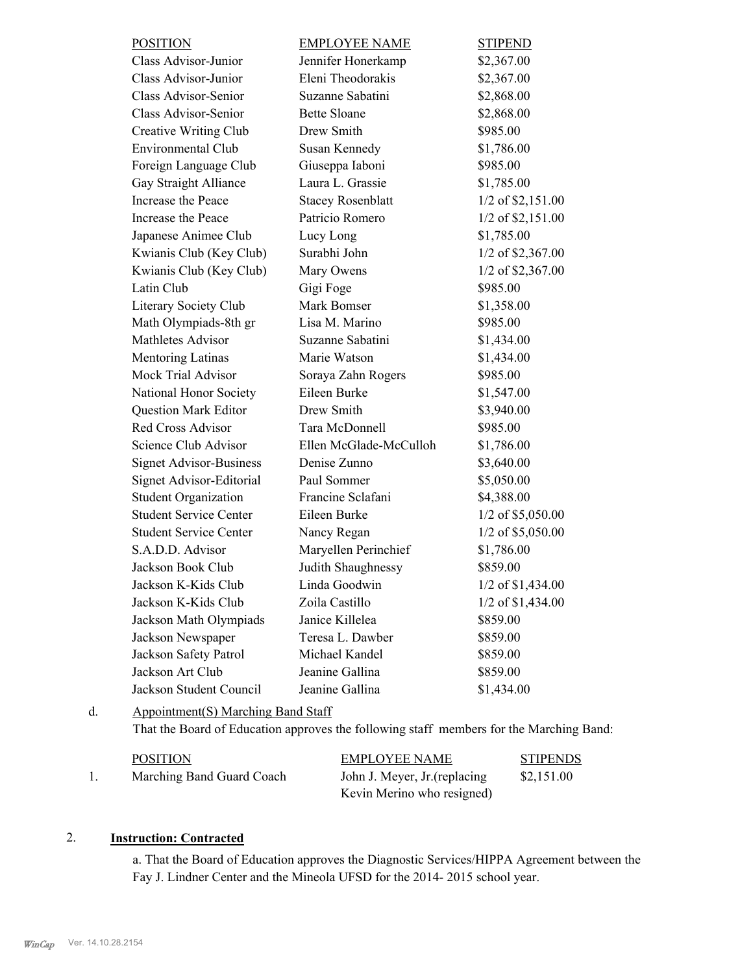| <b>POSITION</b>                | <b>EMPLOYEE NAME</b>     | <b>STIPEND</b>      |
|--------------------------------|--------------------------|---------------------|
| Class Advisor-Junior           | Jennifer Honerkamp       | \$2,367.00          |
| Class Advisor-Junior           | Eleni Theodorakis        | \$2,367.00          |
| Class Advisor-Senior           | Suzanne Sabatini         | \$2,868.00          |
| Class Advisor-Senior           | <b>Bette Sloane</b>      | \$2,868.00          |
| Creative Writing Club          | Drew Smith               | \$985.00            |
| <b>Environmental Club</b>      | Susan Kennedy            | \$1,786.00          |
| Foreign Language Club          | Giuseppa Iaboni          | \$985.00            |
| Gay Straight Alliance          | Laura L. Grassie         | \$1,785.00          |
| Increase the Peace             | <b>Stacey Rosenblatt</b> | 1/2 of \$2,151.00   |
| Increase the Peace             | Patricio Romero          | 1/2 of \$2,151.00   |
| Japanese Animee Club           | Lucy Long                | \$1,785.00          |
| Kwianis Club (Key Club)        | Surabhi John             | 1/2 of \$2,367.00   |
| Kwianis Club (Key Club)        | Mary Owens               | 1/2 of \$2,367.00   |
| Latin Club                     | Gigi Foge                | \$985.00            |
| Literary Society Club          | Mark Bomser              | \$1,358.00          |
| Math Olympiads-8th gr          | Lisa M. Marino           | \$985.00            |
| <b>Mathletes Advisor</b>       | Suzanne Sabatini         | \$1,434.00          |
| Mentoring Latinas              | Marie Watson             | \$1,434.00          |
| Mock Trial Advisor             | Soraya Zahn Rogers       | \$985.00            |
| National Honor Society         | Eileen Burke             | \$1,547.00          |
| <b>Question Mark Editor</b>    | Drew Smith               | \$3,940.00          |
| <b>Red Cross Advisor</b>       | Tara McDonnell           | \$985.00            |
| Science Club Advisor           | Ellen McGlade-McCulloh   | \$1,786.00          |
| <b>Signet Advisor-Business</b> | Denise Zunno             | \$3,640.00          |
| Signet Advisor-Editorial       | Paul Sommer              | \$5,050.00          |
| <b>Student Organization</b>    | Francine Sclafani        | \$4,388.00          |
| <b>Student Service Center</b>  | Eileen Burke             | 1/2 of \$5,050.00   |
| <b>Student Service Center</b>  | Nancy Regan              | 1/2 of \$5,050.00   |
| S.A.D.D. Advisor               | Maryellen Perinchief     | \$1,786.00          |
| Jackson Book Club              | Judith Shaughnessy       | \$859.00            |
| Jackson K-Kids Club            | Linda Goodwin            | $1/2$ of \$1,434.00 |
| Jackson K-Kids Club            | Zoila Castillo           | $1/2$ of \$1,434.00 |
| Jackson Math Olympiads         | Janice Killelea          | \$859.00            |
| Jackson Newspaper              | Teresa L. Dawber         | \$859.00            |
| Jackson Safety Patrol          | Michael Kandel           | \$859.00            |
| Jackson Art Club               | Jeanine Gallina          | \$859.00            |
| Jackson Student Council        | Jeanine Gallina          | \$1,434.00          |

Appointment(S) Marching Band Staff d.

That the Board of Education approves the following staff members for the Marching Band:

| <b>POSITION</b>           | <b>EMPLOYEE NAME</b>          | <b>STIPENDS</b> |
|---------------------------|-------------------------------|-----------------|
| Marching Band Guard Coach | John J. Meyer, Jr. (replacing | \$2,151.00      |
|                           | Kevin Merino who resigned)    |                 |

## 2. **Instruction: Contracted**

a. That the Board of Education approves the Diagnostic Services/HIPPA Agreement between the Fay J. Lindner Center and the Mineola UFSD for the 2014- 2015 school year.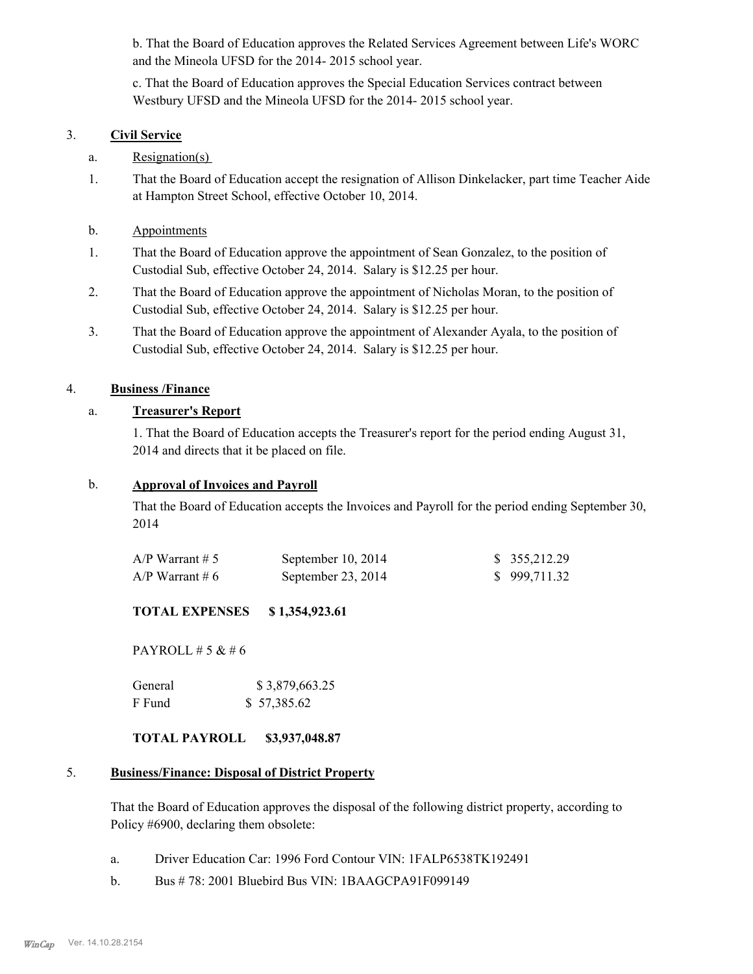b. That the Board of Education approves the Related Services Agreement between Life's WORC and the Mineola UFSD for the 2014- 2015 school year.

c. That the Board of Education approves the Special Education Services contract between Westbury UFSD and the Mineola UFSD for the 2014- 2015 school year.

#### 3. **Civil Service**

## a. Resignation(s)

- That the Board of Education accept the resignation of Allison Dinkelacker, part time Teacher Aide at Hampton Street School, effective October 10, 2014. 1.
- b. Appointments
- That the Board of Education approve the appointment of Sean Gonzalez, to the position of Custodial Sub, effective October 24, 2014. Salary is \$12.25 per hour. 1.
- That the Board of Education approve the appointment of Nicholas Moran, to the position of Custodial Sub, effective October 24, 2014. Salary is \$12.25 per hour. 2.
- That the Board of Education approve the appointment of Alexander Ayala, to the position of Custodial Sub, effective October 24, 2014. Salary is \$12.25 per hour. 3.

## 4. **Business /Finance**

## a. **Treasurer's Report**

1. That the Board of Education accepts the Treasurer's report for the period ending August 31, 2014 and directs that it be placed on file.

#### b. **Approval of Invoices and Payroll**

That the Board of Education accepts the Invoices and Payroll for the period ending September 30, 2014

| A/P Warrant # 5 | September $10, 2014$ | \$355,212.29 |
|-----------------|----------------------|--------------|
| A/P Warrant # 6 | September 23, 2014   | \$999,711.32 |

# **TOTAL EXPENSES \$ 1,354,923.61**

PAYROLL # 5  $& 46$ 

| General | \$3,879,663.25 |
|---------|----------------|
| F Fund  | \$57,385.62    |

# **TOTAL PAYROLL \$3,937,048.87**

#### **Business/Finance: Disposal of District Property** 5.

That the Board of Education approves the disposal of the following district property, according to Policy #6900, declaring them obsolete:

- a. Driver Education Car: 1996 Ford Contour VIN: 1FALP6538TK192491
- b. Bus # 78: 2001 Bluebird Bus VIN: 1BAAGCPA91F099149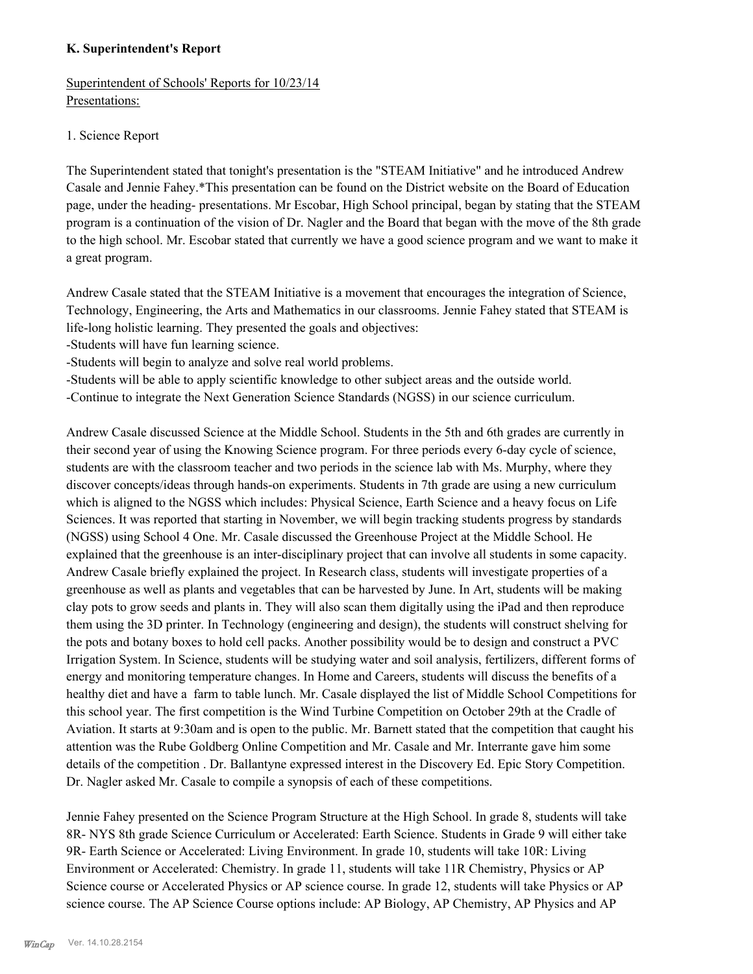#### **K. Superintendent's Report**

Superintendent of Schools' Reports for 10/23/14 Presentations:

#### 1. Science Report

The Superintendent stated that tonight's presentation is the "STEAM Initiative" and he introduced Andrew Casale and Jennie Fahey.\*This presentation can be found on the District website on the Board of Education page, under the heading- presentations. Mr Escobar, High School principal, began by stating that the STEAM program is a continuation of the vision of Dr. Nagler and the Board that began with the move of the 8th grade to the high school. Mr. Escobar stated that currently we have a good science program and we want to make it a great program.

Andrew Casale stated that the STEAM Initiative is a movement that encourages the integration of Science, Technology, Engineering, the Arts and Mathematics in our classrooms. Jennie Fahey stated that STEAM is life-long holistic learning. They presented the goals and objectives:

-Students will have fun learning science.

-Students will begin to analyze and solve real world problems.

-Students will be able to apply scientific knowledge to other subject areas and the outside world.

-Continue to integrate the Next Generation Science Standards (NGSS) in our science curriculum.

Andrew Casale discussed Science at the Middle School. Students in the 5th and 6th grades are currently in their second year of using the Knowing Science program. For three periods every 6-day cycle of science, students are with the classroom teacher and two periods in the science lab with Ms. Murphy, where they discover concepts/ideas through hands-on experiments. Students in 7th grade are using a new curriculum which is aligned to the NGSS which includes: Physical Science, Earth Science and a heavy focus on Life Sciences. It was reported that starting in November, we will begin tracking students progress by standards (NGSS) using School 4 One. Mr. Casale discussed the Greenhouse Project at the Middle School. He explained that the greenhouse is an inter-disciplinary project that can involve all students in some capacity. Andrew Casale briefly explained the project. In Research class, students will investigate properties of a greenhouse as well as plants and vegetables that can be harvested by June. In Art, students will be making clay pots to grow seeds and plants in. They will also scan them digitally using the iPad and then reproduce them using the 3D printer. In Technology (engineering and design), the students will construct shelving for the pots and botany boxes to hold cell packs. Another possibility would be to design and construct a PVC Irrigation System. In Science, students will be studying water and soil analysis, fertilizers, different forms of energy and monitoring temperature changes. In Home and Careers, students will discuss the benefits of a healthy diet and have a farm to table lunch. Mr. Casale displayed the list of Middle School Competitions for this school year. The first competition is the Wind Turbine Competition on October 29th at the Cradle of Aviation. It starts at 9:30am and is open to the public. Mr. Barnett stated that the competition that caught his attention was the Rube Goldberg Online Competition and Mr. Casale and Mr. Interrante gave him some details of the competition . Dr. Ballantyne expressed interest in the Discovery Ed. Epic Story Competition. Dr. Nagler asked Mr. Casale to compile a synopsis of each of these competitions.

Jennie Fahey presented on the Science Program Structure at the High School. In grade 8, students will take 8R- NYS 8th grade Science Curriculum or Accelerated: Earth Science. Students in Grade 9 will either take 9R- Earth Science or Accelerated: Living Environment. In grade 10, students will take 10R: Living Environment or Accelerated: Chemistry. In grade 11, students will take 11R Chemistry, Physics or AP Science course or Accelerated Physics or AP science course. In grade 12, students will take Physics or AP science course. The AP Science Course options include: AP Biology, AP Chemistry, AP Physics and AP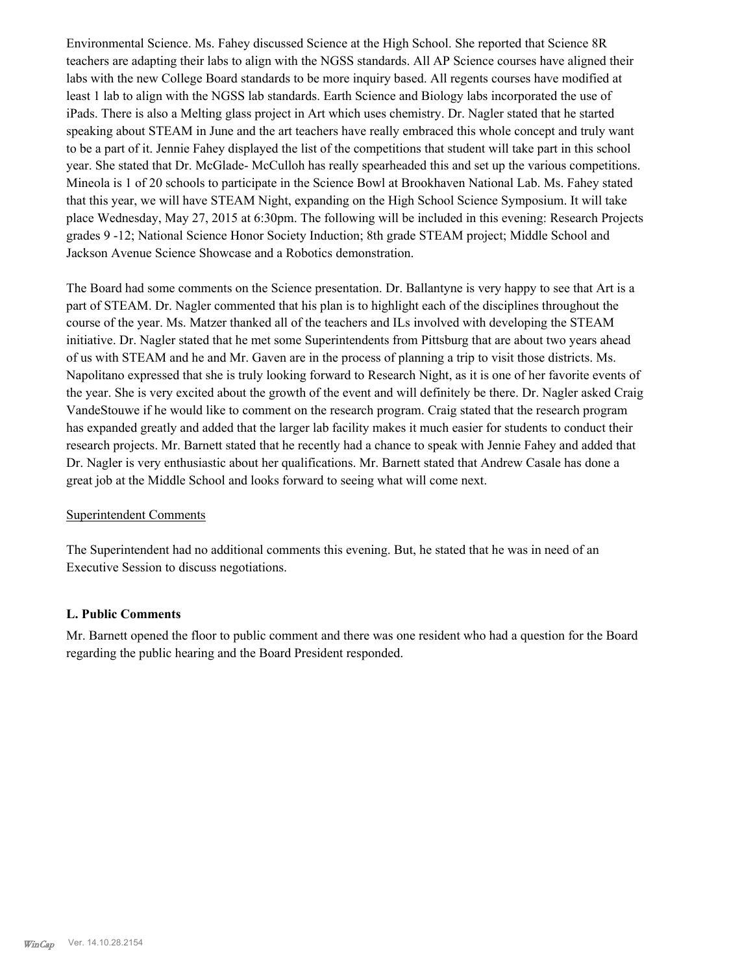Environmental Science. Ms. Fahey discussed Science at the High School. She reported that Science 8R teachers are adapting their labs to align with the NGSS standards. All AP Science courses have aligned their labs with the new College Board standards to be more inquiry based. All regents courses have modified at least 1 lab to align with the NGSS lab standards. Earth Science and Biology labs incorporated the use of iPads. There is also a Melting glass project in Art which uses chemistry. Dr. Nagler stated that he started speaking about STEAM in June and the art teachers have really embraced this whole concept and truly want to be a part of it. Jennie Fahey displayed the list of the competitions that student will take part in this school year. She stated that Dr. McGlade- McCulloh has really spearheaded this and set up the various competitions. Mineola is 1 of 20 schools to participate in the Science Bowl at Brookhaven National Lab. Ms. Fahey stated that this year, we will have STEAM Night, expanding on the High School Science Symposium. It will take place Wednesday, May 27, 2015 at 6:30pm. The following will be included in this evening: Research Projects grades 9 -12; National Science Honor Society Induction; 8th grade STEAM project; Middle School and Jackson Avenue Science Showcase and a Robotics demonstration.

The Board had some comments on the Science presentation. Dr. Ballantyne is very happy to see that Art is a part of STEAM. Dr. Nagler commented that his plan is to highlight each of the disciplines throughout the course of the year. Ms. Matzer thanked all of the teachers and ILs involved with developing the STEAM initiative. Dr. Nagler stated that he met some Superintendents from Pittsburg that are about two years ahead of us with STEAM and he and Mr. Gaven are in the process of planning a trip to visit those districts. Ms. Napolitano expressed that she is truly looking forward to Research Night, as it is one of her favorite events of the year. She is very excited about the growth of the event and will definitely be there. Dr. Nagler asked Craig VandeStouwe if he would like to comment on the research program. Craig stated that the research program has expanded greatly and added that the larger lab facility makes it much easier for students to conduct their research projects. Mr. Barnett stated that he recently had a chance to speak with Jennie Fahey and added that Dr. Nagler is very enthusiastic about her qualifications. Mr. Barnett stated that Andrew Casale has done a great job at the Middle School and looks forward to seeing what will come next.

#### Superintendent Comments

The Superintendent had no additional comments this evening. But, he stated that he was in need of an Executive Session to discuss negotiations.

#### **L. Public Comments**

Mr. Barnett opened the floor to public comment and there was one resident who had a question for the Board regarding the public hearing and the Board President responded.